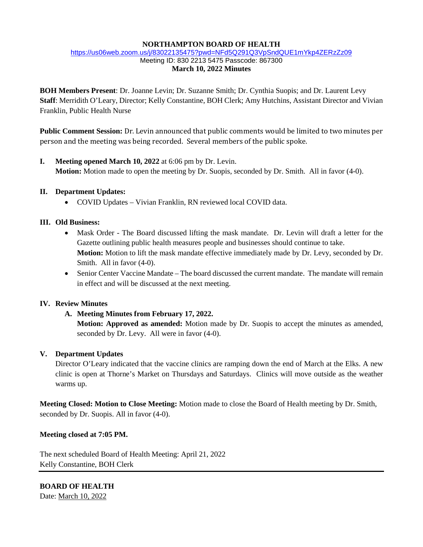#### **NORTHAMPTON BOARD OF HEALTH**

#### <https://us06web.zoom.us/j/83022135475?pwd=NFd5Q291Q3VpSndQUE1mYkp4ZERzZz09> Meeting ID: 830 2213 5475 Passcode: 867300 **March 10, 2022 Minutes**

**BOH Members Present**: Dr. Joanne Levin; Dr. Suzanne Smith; Dr. Cynthia Suopis; and Dr. Laurent Levy **Staff**: Merridith O'Leary, Director; Kelly Constantine, BOH Clerk; Amy Hutchins, Assistant Director and Vivian Franklin, Public Health Nurse

**Public Comment Session:** Dr. Levin announced that public comments would be limited to two minutes per person and the meeting was being recorded. Several members of the public spoke.

## **I. Meeting opened March 10, 2022** at 6:06 pm by Dr. Levin. **Motion:** Motion made to open the meeting by Dr. Suopis, seconded by Dr. Smith. All in favor (4-0).

### **II. Department Updates:**

• COVID Updates – Vivian Franklin, RN reviewed local COVID data.

### **III. Old Business:**

- Mask Order The Board discussed lifting the mask mandate. Dr. Levin will draft a letter for the Gazette outlining public health measures people and businesses should continue to take. **Motion:** Motion to lift the mask mandate effective immediately made by Dr. Levy, seconded by Dr. Smith. All in favor (4-0).
- Senior Center Vaccine Mandate The board discussed the current mandate. The mandate will remain in effect and will be discussed at the next meeting.

### **IV. Review Minutes**

### **A. Meeting Minutes from February 17, 2022.**

**Motion: Approved as amended:** Motion made by Dr. Suopis to accept the minutes as amended, seconded by Dr. Levy. All were in favor (4-0).

### **V. Department Updates**

Director O'Leary indicated that the vaccine clinics are ramping down the end of March at the Elks. A new clinic is open at Thorne's Market on Thursdays and Saturdays. Clinics will move outside as the weather warms up.

**Meeting Closed: Motion to Close Meeting:** Motion made to close the Board of Health meeting by Dr. Smith, seconded by Dr. Suopis. All in favor (4-0).

### **Meeting closed at 7:05 PM.**

The next scheduled Board of Health Meeting: April 21, 2022 Kelly Constantine, BOH Clerk

**BOARD OF HEALTH** Date: March 10, 2022